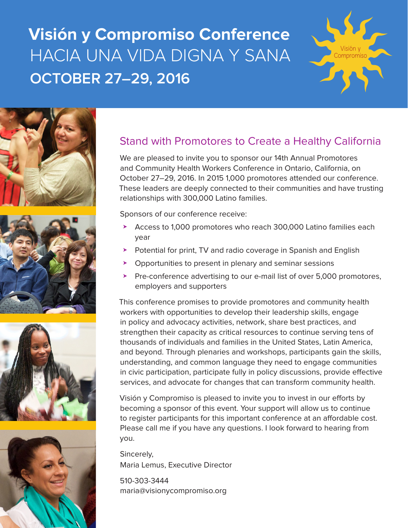# **Visión y Compromiso Conference**  HACIA UNA VIDA DIGNA Y SANA **OCTOBER 27–29, 2016**











#### Stand with Promotores to Create a Healthy California

We are pleased to invite you to sponsor our 14th Annual Promotores and Community Health Workers Conference in Ontario, California, on October 27–29, 2016. In 2015 1,000 promotores attended our conference. These leaders are deeply connected to their communities and have trusting relationships with 300,000 Latino families.

Sponsors of our conference receive:

- ▶ Access to 1,000 promotores who reach 300,000 Latino families each year
- ▶ Potential for print, TV and radio coverage in Spanish and English
- Opportunities to present in plenary and seminar sessions
- ▶ Pre-conference advertising to our e-mail list of over 5,000 promotores, employers and supporters

This conference promises to provide promotores and community health workers with opportunities to develop their leadership skills, engage in policy and advocacy activities, network, share best practices, and strengthen their capacity as critical resources to continue serving tens of thousands of individuals and families in the United States, Latin America, and beyond. Through plenaries and workshops, participants gain the skills, understanding, and common language they need to engage communities in civic participation, participate fully in policy discussions, provide effective services, and advocate for changes that can transform community health.

Visión y Compromiso is pleased to invite you to invest in our efforts by becoming a sponsor of this event. Your support will allow us to continue to register participants for this important conference at an affordable cost. Please call me if you have any questions. I look forward to hearing from you.

Sincerely, Maria Lemus, Executive Director

510-303-3444 maria@visionycompromiso.org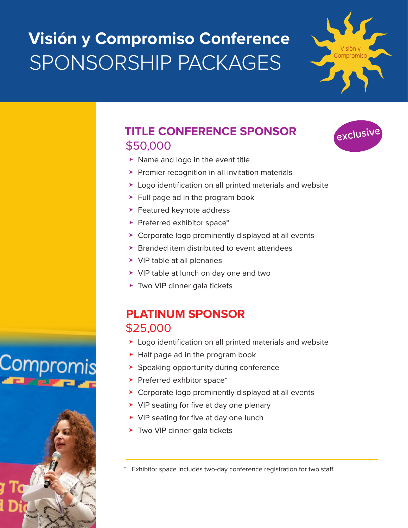# **Visión y Compromiso Conference**  SPONSORSHIP PACKAGES



exclusive

## **TITLE CONFERENCE SPONSOR**  \$50,000

- $\triangleright$  Name and logo in the event title
- ▶ Premier recognition in all invitation materials
- ▶ Logo identification on all printed materials and website
- ▶ Full page ad in the program book
- $\blacktriangleright$  Featured keynote address
- $\blacktriangleright$  Preferred exhibitor space\*
- ▶ Corporate logo prominently displayed at all events
- $\triangleright$  Branded item distributed to event attendees
- ▶ VIP table at all plenaries
- ▶ VIP table at lunch on day one and two
- ▶ Two VIP dinner gala tickets

## **PLATINUM SPONSOR**  \$25,000

- ▶ Logo identification on all printed materials and website
- ➤ Half page ad in the program book
- ➤ Speaking opportunity during conference
- ▶ Preferred exhbitor space\*
- ➤ Corporate logo prominently displayed at all events
- ➤ VIP seating for five at day one plenary
- ➤ VIP seating for five at day one lunch
- ➤ Two VIP dinner gala tickets

Exhibitor space includes two-day conference registration for two staff



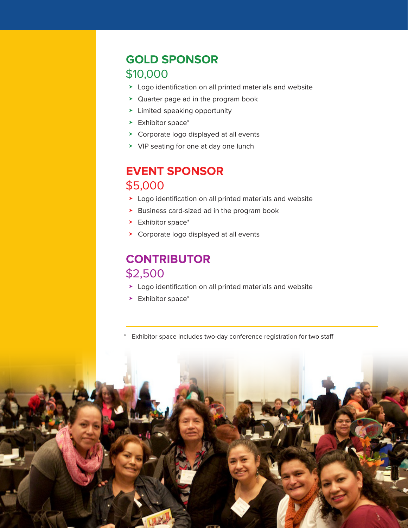## **GOLD SPONSOR**  \$10,000

- ▶ Logo identification on all printed materials and website
- ▶ Quarter page ad in the program book
- ▶ Limited speaking opportunity
- ▶ Exhibitor space\*
- ▶ Corporate logo displayed at all events
- ▶ VIP seating for one at day one lunch

## **EVENT SPONSOR**  \$5,000

- ➤ Logo identification on all printed materials and website
- ➤ Business card-sized ad in the program book
- ▶ Exhibitor space\*
- ➤ Corporate logo displayed at all events

## **CONTRIBUTOR**  \$2,500

- ➤ Logo identification on all printed materials and website
- ▶ Exhibitor space\*
- Exhibitor space includes two-day conference registration for two staff